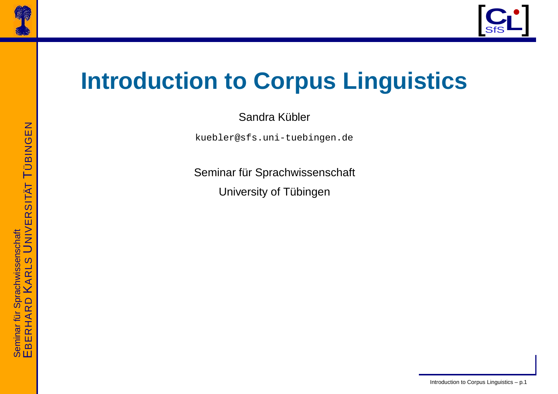



## **Introduction to Corpus Linguistics**

Sandra Kübler

kuebler@sfs.uni-tuebingen.de

Seminar für Sprachwissenschaft University of Tübingen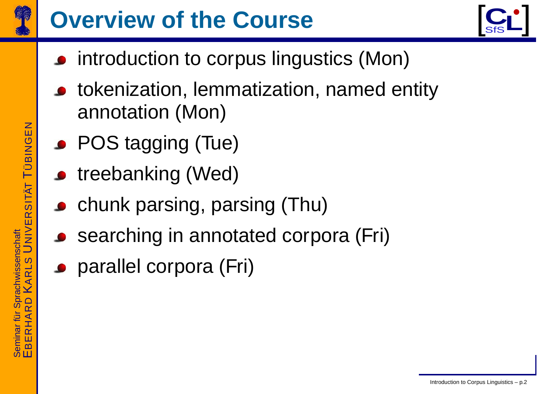

## **Overvie w of the Course**



- introduction to corpus lingustics (Mon)
- tokenization, lemmatization, named entity annotation (Mon)
- POS tagging (Tue)
- **•** treebanking (Wed)
- chunk parsing, parsing (Thu)
- searching in annotated corpor a (F ri)
- parallel corpor a (F ri)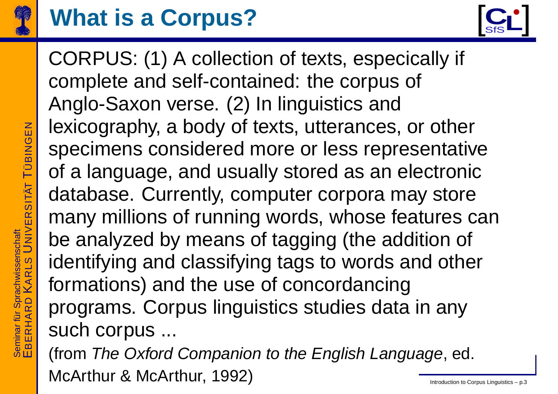

## **What is a Corpus?**



– p.3

CORPUS: (1) A collection of texts, especically if complete and self-contained: the corpus of Anglo-Saxon verse. (2) In linguistics and lexicog raph y, <sup>a</sup> body of texts, utterances, or other specimens considered more or less representativ e of a language, and usually stored as an electronic database. Currently, computer corpor a ma y store man y millions of running words, whose features can be analyzed b y means of tagging (the addition of identifying and classifying tags to words and other formations) and the use of concordancing prog rams. Corpus linguistics studies data in an y such corpus ...

(from The Oxford Companion to the English Language, ed. McArthur & McArthur, 1992) Introduction to Corpus Linguistics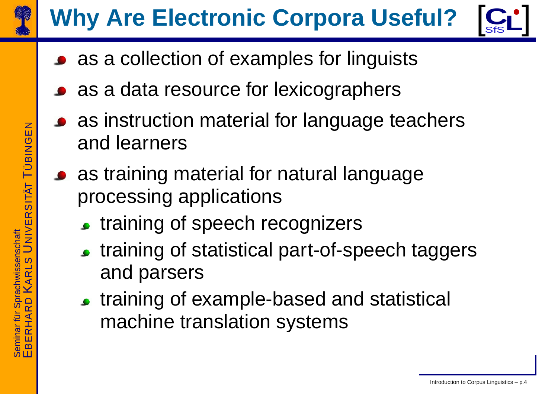

# **Wh y Are Electronic Corpora Useful?**



- as a collection of examples for linguists
- as a data resource for lexicog raphers
- as instruction material for language teachers and learners
- as training material for natural language processing applications
	- **training of speech recognizers**
	- **training of statistical part-of-speech taggers** and parsers
	- training of example-based and statistical machine translation systems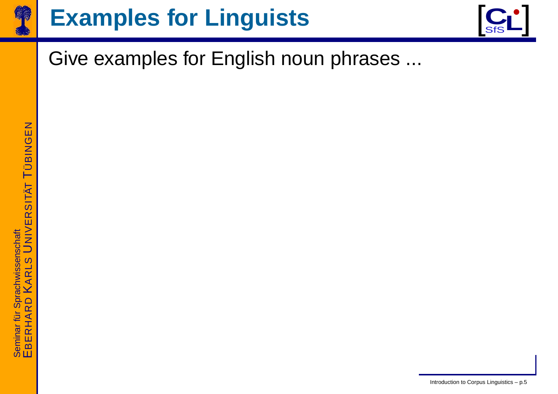

## **Examples for Linguists**



#### Give examples for English noun phrases ...

Introduction to Corpus Linguistics – p.5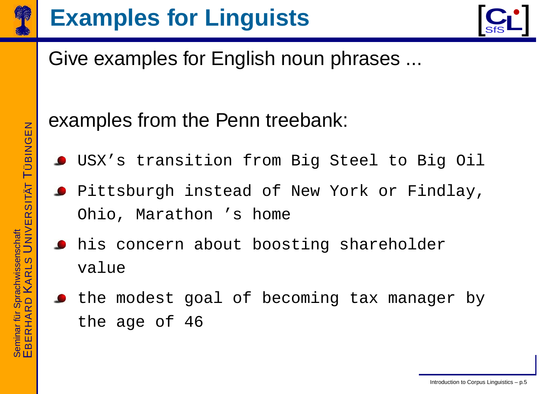

## **Examples for Linguists**



#### Give examples for English noun phrases ...

#### examples from the Penn treebank:

- USX's transition from Big Steel to Big Oil
- **Pittsburgh instead of New York or Findlay,** Ohio, Marathon 's home
- his concern about boosting shareholder value
- the modest goal of becoming tax manager by the age of 46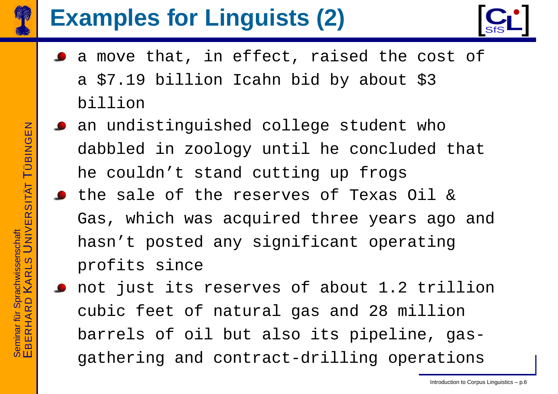

# **Examples for Linguists (2)**



- a move that, in effect, raised the cost of a \$7.19 billion Icahn bid by about \$3 billion
- an undistinguished college student who dabbled in zoology until he concluded that he couldn't stand cutting up frogs
- the sale of the reserves of Texas Oil & Gas, which was acquired three years ago and hasn't posted any significant operating profits since
- not just its reserves of about 1.2 trillion cubic feet of natural gas and 28 million barrels of oil but also its pipeline, gasgathering and contract-drilling operations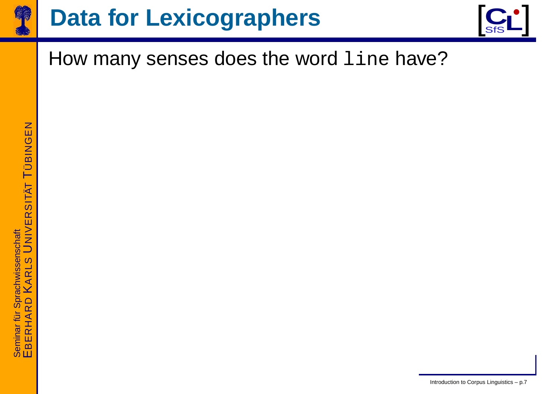

# $D$ ata for Lexicographers  $\left[\begin{array}{c} C_1 \ S_1 \end{array}\right]$



#### How many senses does the word line have?

Introduction to Corpus Linguistics – p.7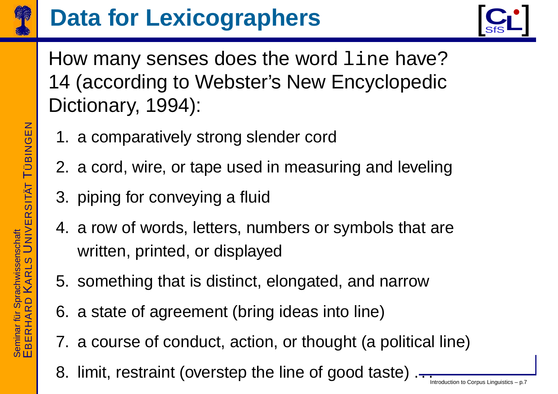

# **Data for Lexicographers**



How many senses does the word line have? 14 (according to Webster's New Encyclopedic Dictionary, 1994):

- 1. a comparatively strong slender cord
- 2. a cord, wire, or tape used in measuring and leveling
- 3. piping for conveying a fluid
- 4. a row of words, letters, numbers or symbols that are written, printed, or displayed
- 5. something that is distinct, elongated, and narrow
- 6. a state of agreement (bring ideas into line)
- 7. a course of conduct, action, or thought (a political line)
- 8. limit, restraint (overstep the line of good taste) .-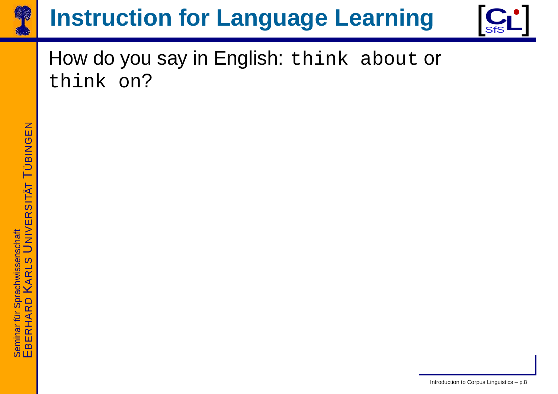

# **Instruction for Language Learning**  $\left[\begin{array}{c} C_1 \\ S' \end{array}\right]$



#### How do you say in English: think about or think on?

Introduction to Corpus Linguistics – p.8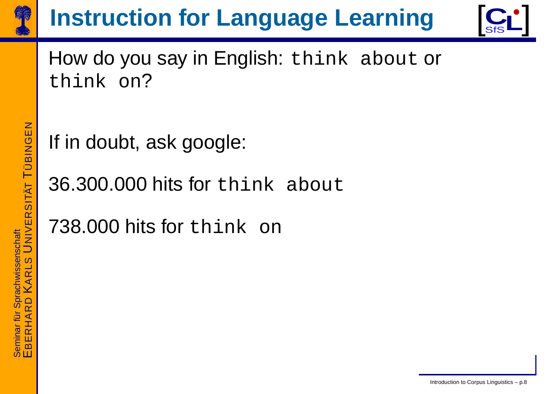

# **Instruction for Language Learning**  $\left[\begin{array}{c} C_1 \\ S' \end{array}\right]$



How do you say in English: think about or think on?

If in doubt, ask google:

36.300.000 hits for think about

738.000 hits for think on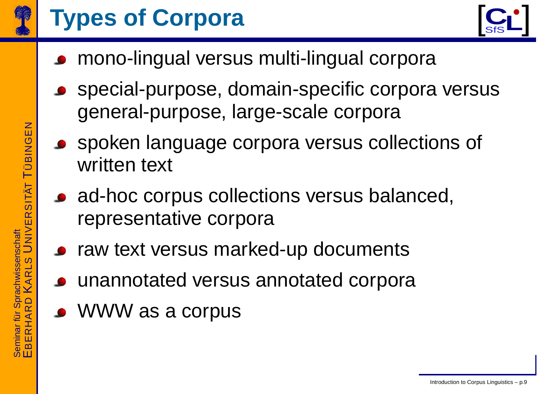

## **Types of Corpora**



- mono-lingual versus multi-lingual corpora
- special-purpose, domain-specific corpora versus general-purpose, large-scale corpora
- spoken language corpora versus collections of written text
- ad-hoc corpus collections versus balanced, representative corpora
- raw text versus marked-up documents
- unannotated versus annotated corpora
- WWW as a corpus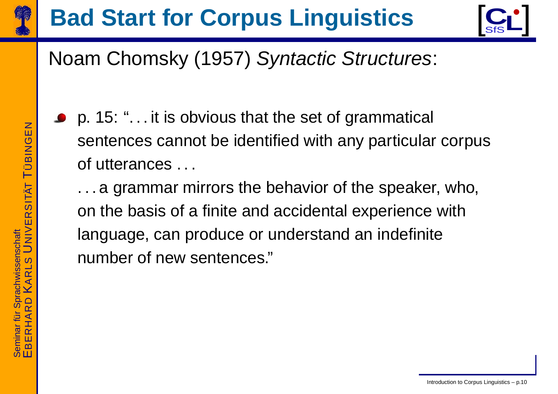

# **Bad Start for Corpus Linguistics** [C<sup>C</sup>]



#### Noam Chomsky (1957) *Syntactic Structures*:

p. 15: ". . . it is obvious that the set of grammatical sentences cannot be identified with any particular corpus of utterances . . .

. . . a grammar mirrors the behavior of the speaker, who, on the basis of <sup>a</sup> finite and accidental experience with language, can produce or understand an indefinite number of new sentences."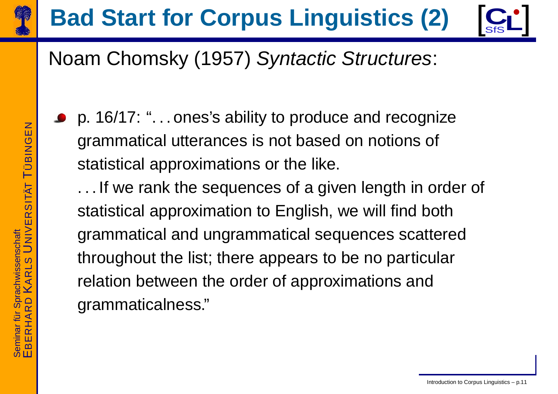

# **Bad Start for Corpus Linguistics (2)**  $\left[\begin{array}{c} C_1 \\ S' \end{array}\right]$

#### Noam Chomsky (1957) *Syntactic Structures*:

p. 16/17: ". . . ones's ability to produce and recognize grammatical utterances is not based on notions of statistical approximations or the like.

. . . If we rank the sequences of <sup>a</sup> given length in order of statistical approximation to English, we will find both grammatical and ungrammatical sequences scattered throughout the list; there appears to be no particular relation between the order of approximations and grammaticalness."

E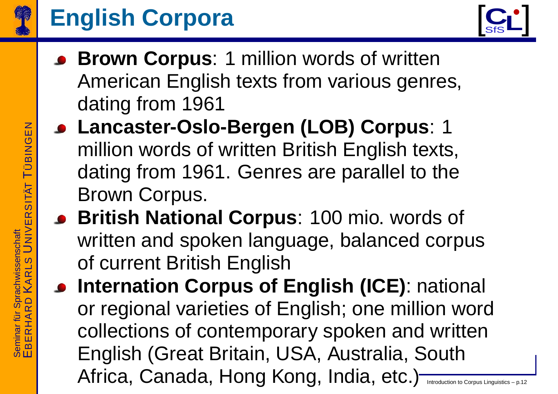

## **English Corpora**



- **Br own Corpus**: 1 million words of written American English texts from various genres, dating from 1961
- **Lancaster-Oslo-Ber gen (LOB) Corpus**: 1 million words of written British English texts, dating from 1961. Genres are parallel to the Brown Corpus.
- **British National Corpus**: 100 mio. words of written and spoken language, balanced corpus of current British English
- **Internation Corpus of English (ICE)**: national or regional varieties of English; one million word collections of contemporar y spoken and written English (Great Britain, USA, Australia, South Africa, Canada, Hong Kong, India, etc.) Introduction to Corpus Linguistics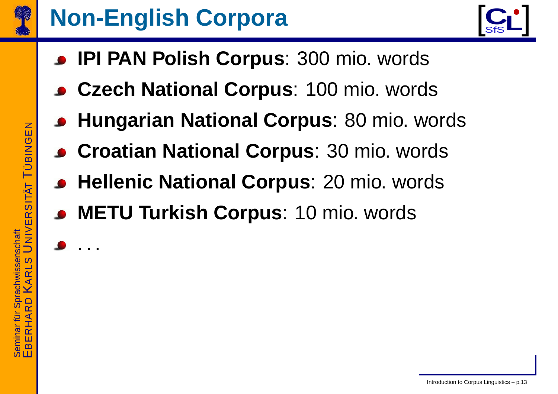

## **Non-English Corpora**



- **IPI PAN Polish Corpus**: 300 mio. words
- **Czec h National Corpus**: 100 mio. words
- **Hungarian National Corpus**: 80 mio. words
- **Croatian National Corpus**: 30 mio. words
- **Hellenic National Corpus**: 20 mio. words
- **METU Turkish Corpus**: 10 mio. words

.. .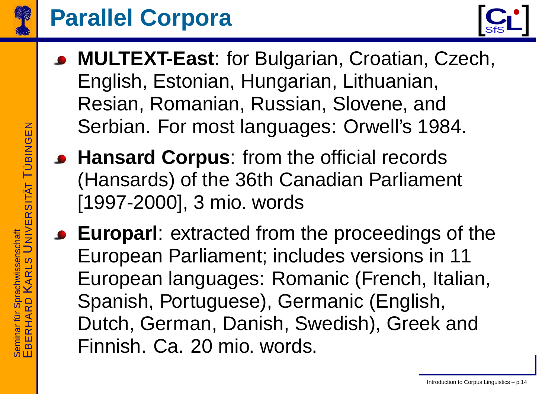

#### **Parallel Corpora**



- **MULTEXT-East**: for Bulgarian, Croatian, Czech, English, Estonian, Hungarian, Lithuanian, Resian, Romanian, Russian, Slo vene, and Serbian. For most languages: Orwell' s 1984.
- **Hansar d Corpus**: from the official records (Hansards) of the 36th Canadian Parliament [1997-2000], 3 mio. words
- **Europarl**: extracted from the proceedings of the European Parliament; includes versions in 11 European languages: Romanic (French, Italian, Spanish, Portuguese), Germanic (English, Dutch, German, Danish, Swedish), Greek and Finnish. Ca. 20 mio. words.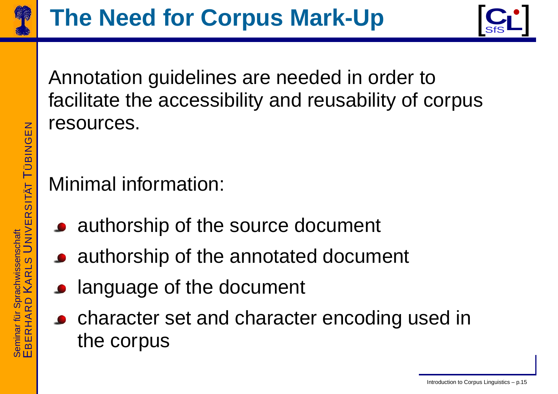



Annotation guidelines are needed in order to facilitate the accessibility and reusability of corpus resources.

#### Minimal information:

- authorship of the source document
- authorship of the annotated document
- **language of the document**
- character set and character encoding used in the corpus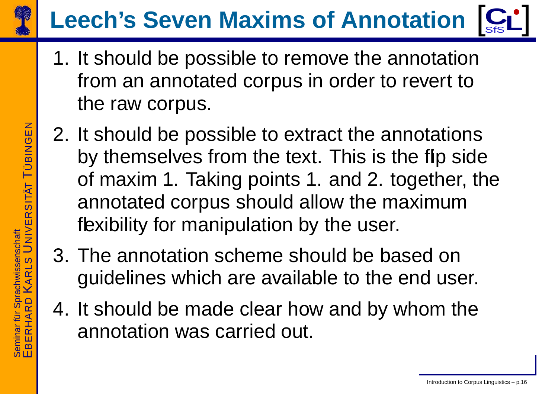

#### **Leech' s Seven Maxims of Annotation** [ **C**SfS**L**]<br>!

- 1. It should be possible to remove the annotation from an annotated corpus in order to revert to the r a w corpus.
- 2. It should be possible to extract the annotations b y themselves from the text. This is the flip side of maxim 1. Taking points 1. and 2. together, the annotated corpus should allo w the maximum flexibility for manipulation by the user.
- 3. The annotation scheme should be based on guidelines which are a vailable to the end user.
- 4. It should be made clear ho w and b y whom the annotation was carried out.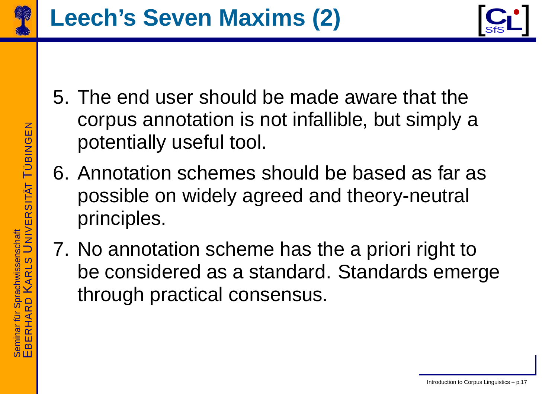



- 5. The end user should be made aware that the corpus annotation is not infallible, but simply <sup>a</sup> potentially useful tool.
- 6. Annotation schemes should be based as far as possible on widely agreed and theory-neutral principles.
- 7. No annotation scheme has the <sup>a</sup> priori right to be considered as <sup>a</sup> standard. Standards emerge through practical consensus.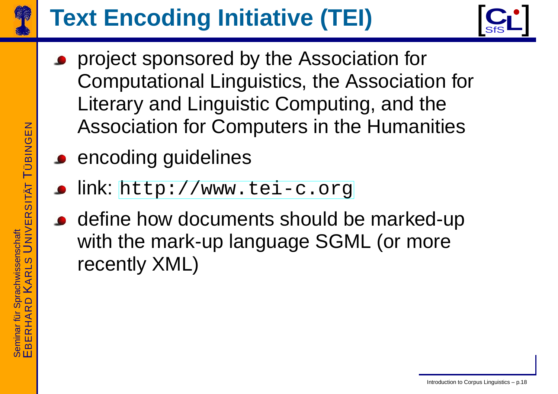

# **Text Encoding Initiative (TEI)**



- project sponsored b y the Association for Computational Linguistics, the Association for Literar y and Linguistic Computing, and the Association for Computers in the Humanities
- **encoding guidelines** 
	- link: [http://www.tei](http://www.tei-c.org)-c.org
	- define ho w documents should be mar ked-up with the mark-up language SGML (or more recently XML)

Introduction to Corpus Linguistics – p.18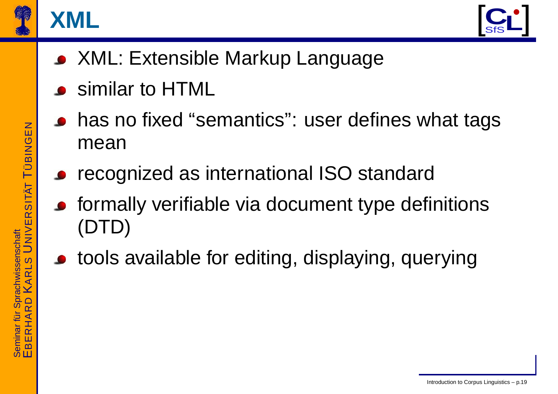

#### **XML**



- XML: Extensible Markup Language
- similar to HTML
- has no fixed "semantics": user defines what tags mean
- recognized as international ISO standard
- formally verifiable via document type definitions (DTD)
- tools available for editing, displaying, querying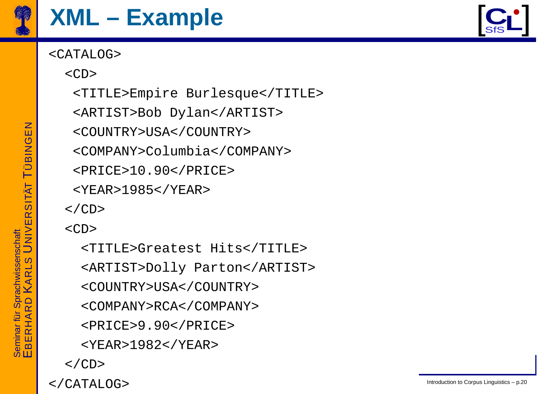

# $XML$  – **Example**  $\begin{bmatrix} \mathbf{C_1}^{\bullet} \end{bmatrix}$

#### <CATALOG>



 $$ 

<TITLE>Empire Burlesque</TITLE>

<ARTIST>Bob Dylan</ARTIST>

<COUNTRY>USA</COUNTRY>

<COMPANY>Columbia</COMPANY>

<PRICE>10.90</PRICE>

<YEAR>1985</YEAR>

 $\langle$  /CD $\rangle$ 

 $$ 

<TITLE>Greatest Hits</TITLE> <ARTIST>Dolly Parton</ARTIST> <COUNTRY>USA</COUNTRY> <COMPANY>RCA</COMPANY> <PRICE>9.90</PRICE> <YEAR>1982</YEAR>  $\langle$  /CD>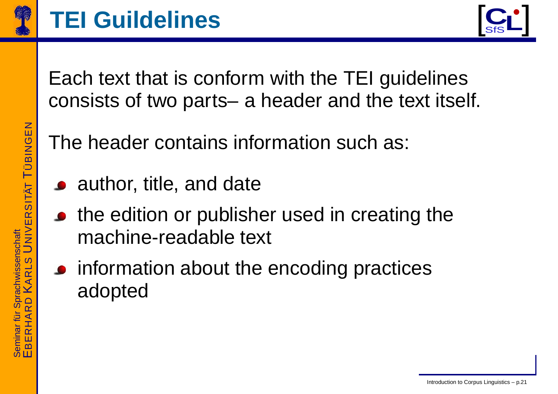



Each text that is conform with the TEI guidelines consists of two parts– <sup>a</sup> header and the text itself.

The header contains information such as:

- author, title, and date
- the edition or publisher used in creating the machine-readable text
- information about the encoding practices adopted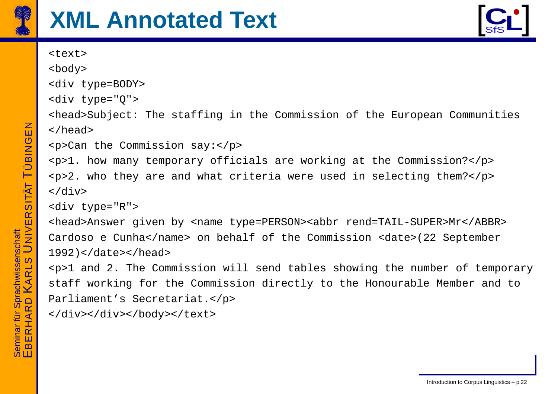



```
<text><body>
<div type=BODY>
<div type="Q">
<head>Subject: The staffing in the Commission of the European Communities
</head>
<p>Can the Commission say:</p>
<p>1. how many temporary officials are working at the Commission?</p>
<p>2. who they are and what criteria were used in selecting them?</p>
\langlediv\rangle<div type="R">
<head>Answer given by <name type=PERSON><abb
r rend=TAIL-SUPER>Mr</ABBR>
Cardoso
e Cunha</name> on behalf of the Commission <date>(22 September
1992)</date></head>
<p>1 and 2. The Commission will send tables showing the number of temporary
staff working for the Commission directly to the Honourable Member and to
Parliament's Secretariat.</p>
</div></div></body></text>
```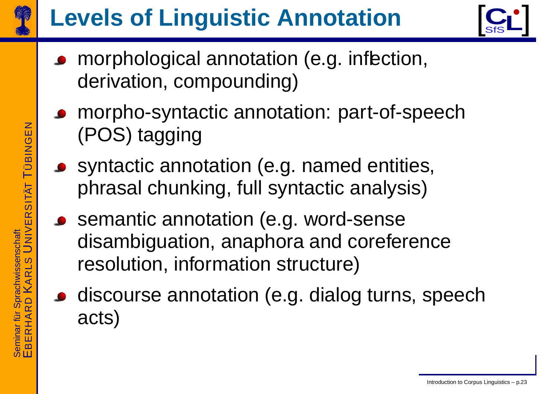

# **Levels of Linguistic Annotation**



- morphological annotation (e.g. inflection, derivation, compounding)
- morpho-syntactic annotation: part-of-speech (POS) tagging
- syntactic annotation (e.g. named entities, phrasal chunking, full syntactic analysis)
	- semantic annotation (e.g. word-sense disambiguation, anaphor a and coreference resolution, information structure)
- discourse annotation (e.g. dialog turns, speech acts)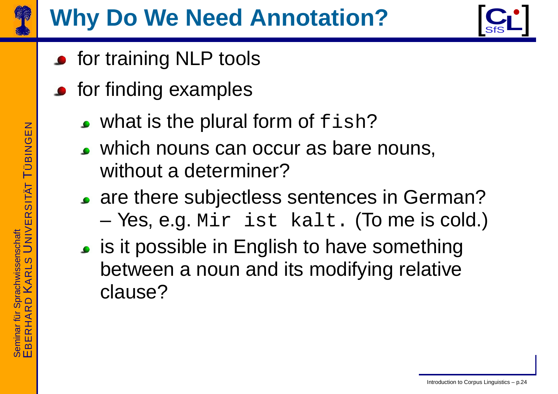

## **Wh y Do W e Need Annotation?**



- **•** for training NLP tools
- for finding examples
	- what is the plural form of  $f {\tt ish?}$
	- which nouns can occur as bare nouns, without a determiner?
	- are there subjectless sentences in German? –Yes, e.g. Mir ist kalt. (To me is cold.)
	- is it possible in English to have something between a noun and its modifying relative clause?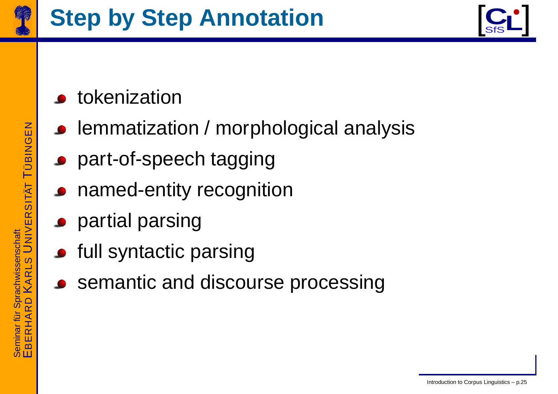



- tokenization
- lemmatization / morphological analysis
- part-of-speech tagging
- named-entity recognition
- **•** partial parsing
- **•** full syntactic parsing
	- semantic and discourse processing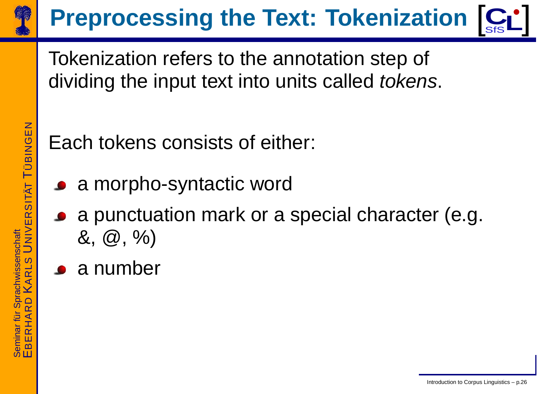

# **Preprocessing the Text: Tokenization**  $\left[\mathbf{C}_\mathbf{S}\right]$

Tokenization refers to the annotation step of dividing the input text into units called tokens.

Each tokens consists of either:

- a morpho-syntactic word
- a punctuation mark or <sup>a</sup> special character (e.g.  $\&$ ,  $\&$ ,  $\%$ )
- a number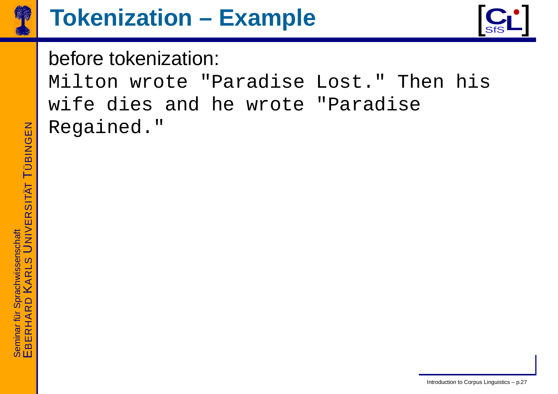



#### before tokenization:

Milton wrote "Paradise Lost." Then his wife dies and he wrote "Paradise Regained."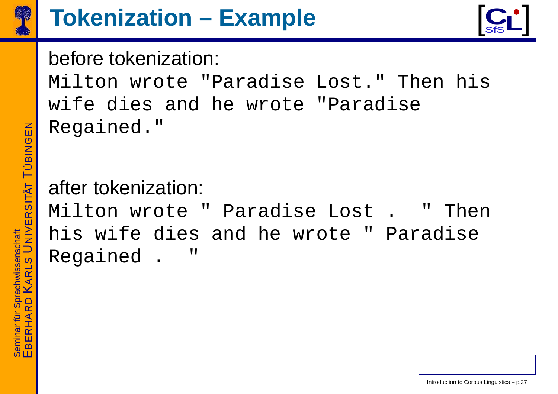



#### before tokenization:

Milton wrote "Paradise Lost." Then his wife dies and he wrote "Paradise Regained."

#### after tokenization:

Milton wrote " Paradise Lost . " Then his wife dies and he wrote " Paradise Regained . "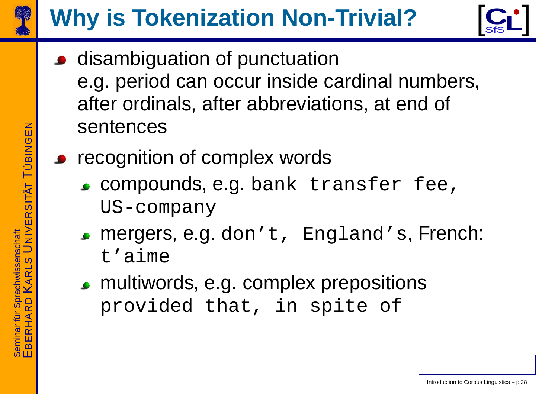

# **Wh y is Tokenization Non-Trivial?**



- **•** disambiguation of punctuation e.g. period can occur inside cardinal numbers, after ordinals, after abbreviations, at end of sentences
	- recognition of comple x words
		- compounds, e.g. bank transfer fee, US-company
		- mergers, e.g. don't, England's, French: t'aime
		- multiwords, e.g. comple x prepositions provided that, in spite of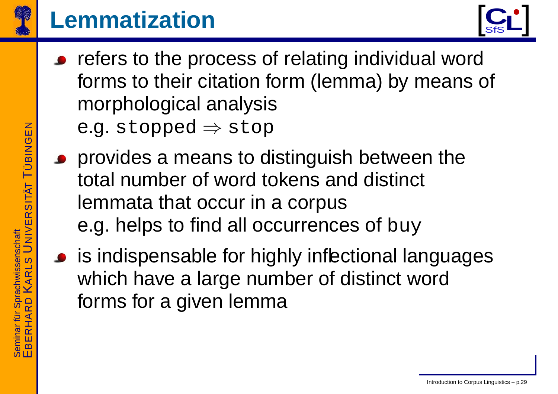

## **Lemmatization**



- refers to the process of relating individual word forms to their citation form (lemma) by means of morphological analysis e.g. stopped  $\Rightarrow$  stop
- provides a means to distinguish between the total number of word tokens and distinct lemmata that occur in a corpus e.g. helps to find all occurrences of buy
	- is indispensable for highly inflectional languages which ha v e a large number of distinct word forms for a given lemma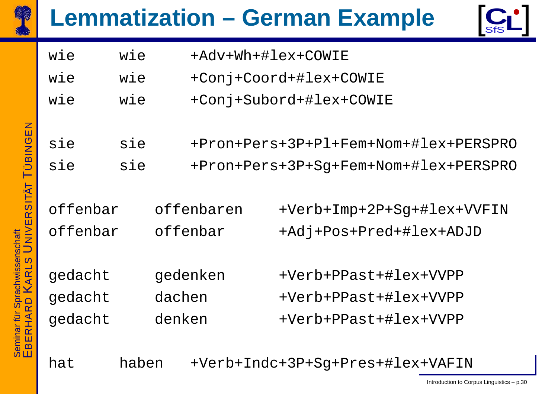

## **Lemmatization - German Example**



| wie | wie | +Adv+Wh+#lex+COWIE            |
|-----|-----|-------------------------------|
| wie | wie | +Conj+Coord+#lex+COWIE        |
| wie | wie | +Conj+Subord+#lex+COWIE       |
|     |     |                               |
| sie | sie | $+Pron+Pers+3P+P1+Fem+Nom+#1$ |

+Pron+Pers+3P+Sg+Fem+Nom+#lex+PERSPRO sie sie

offenbar offenbaren +Verb+Imp+2P+Sq+#lex+VVFIN offenbar offenbar +Adj+Pos+Pred+#lex+ADJD

gedacht gedenken +Verb+PPast+#lex+VVPP gedacht dachen +Verb+PPast+#lex+VVPP gedacht denken +Verb+PPast+#lex+VVPP

+Verb+Indc+3P+Sg+Pres+#lex+VAFIN haben hat

ex+PERSPRO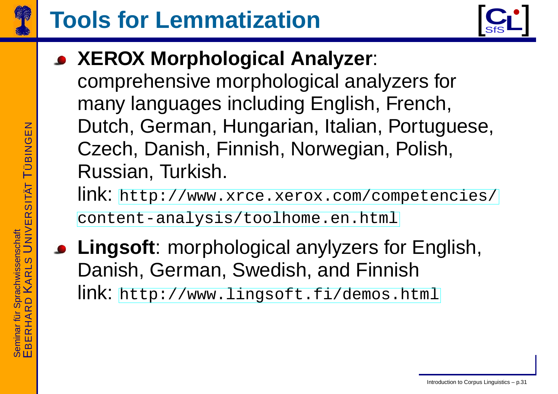



• XEROX Morphological Analyzer:

comprehensive morphological analyzers for many languages including English, French, Dutch, German, Hungarian, Italian, Portuguese, Czech, Danish, Finnish, Norwegian, Polish, Russian, Turkish.

link: http://www.xrce.xerox.com/competencies/ content-analysis/toolhome.en.html

• Lingsoft: morphological anylyzers for English, Danish, German, Swedish, and Finnish link: http://www.lingsoft.fi/demos.html